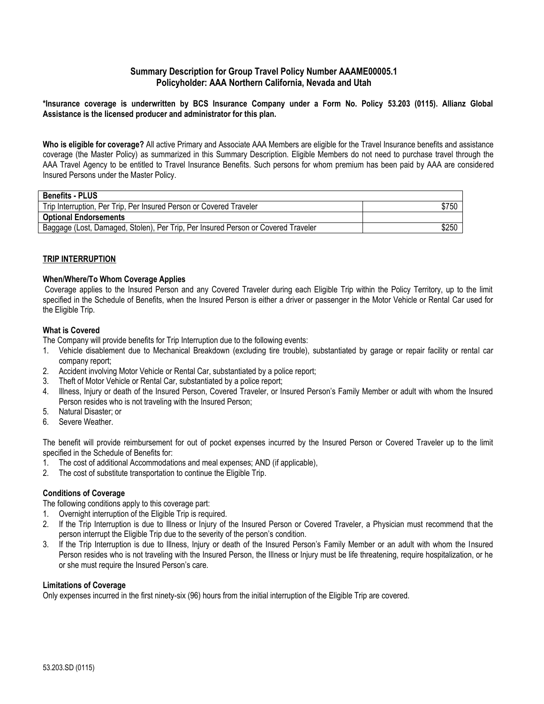#### **Summary Description for Group Travel Policy Number AAAME00005.1 Policyholder: AAA Northern California, Nevada and Utah**

**\*Insurance coverage is underwritten by BCS Insurance Company under a Form No. Policy 53.203 (0115). Allianz Global Assistance is the licensed producer and administrator for this plan.**

**Who is eligible for coverage?** All active Primary and Associate AAA Members are eligible for the Travel Insurance benefits and assistance coverage (the Master Policy) as summarized in this Summary Description. Eligible Members do not need to purchase travel through the AAA Travel Agency to be entitled to Travel Insurance Benefits. Such persons for whom premium has been paid by AAA are considered Insured Persons under the Master Policy.

| \$750 |
|-------|
|       |
| \$250 |
|       |

#### **TRIP INTERRUPTION**

#### **When/Where/To Whom Coverage Applies**

Coverage applies to the Insured Person and any Covered Traveler during each Eligible Trip within the Policy Territory, up to the limit specified in the Schedule of Benefits, when the Insured Person is either a driver or passenger in the Motor Vehicle or Rental Car used for the Eligible Trip.

#### **What is Covered**

The Company will provide benefits for Trip Interruption due to the following events:

- 1. Vehicle disablement due to Mechanical Breakdown (excluding tire trouble), substantiated by garage or repair facility or rental car company report;
- 2. Accident involving Motor Vehicle or Rental Car, substantiated by a police report;
- 3. Theft of Motor Vehicle or Rental Car, substantiated by a police report;
- 4. Illness, Injury or death of the Insured Person, Covered Traveler, or Insured Person's Family Member or adult with whom the Insured Person resides who is not traveling with the Insured Person;
- 5. Natural Disaster; or
- 6. Severe Weather.

The benefit will provide reimbursement for out of pocket expenses incurred by the Insured Person or Covered Traveler up to the limit specified in the Schedule of Benefits for:

- 1. The cost of additional Accommodations and meal expenses; AND (if applicable),
- 2. The cost of substitute transportation to continue the Eligible Trip.

#### **Conditions of Coverage**

The following conditions apply to this coverage part:

- 1. Overnight interruption of the Eligible Trip is required.
- 2. If the Trip Interruption is due to Illness or Injury of the Insured Person or Covered Traveler, a Physician must recommend that the person interrupt the Eligible Trip due to the severity of the person's condition.
- 3. If the Trip Interruption is due to Illness, Injury or death of the Insured Person's Family Member or an adult with whom the Insured Person resides who is not traveling with the Insured Person, the Illness or Injury must be life threatening, require hospitalization, or he or she must require the Insured Person's care.

#### **Limitations of Coverage**

Only expenses incurred in the first ninety-six (96) hours from the initial interruption of the Eligible Trip are covered.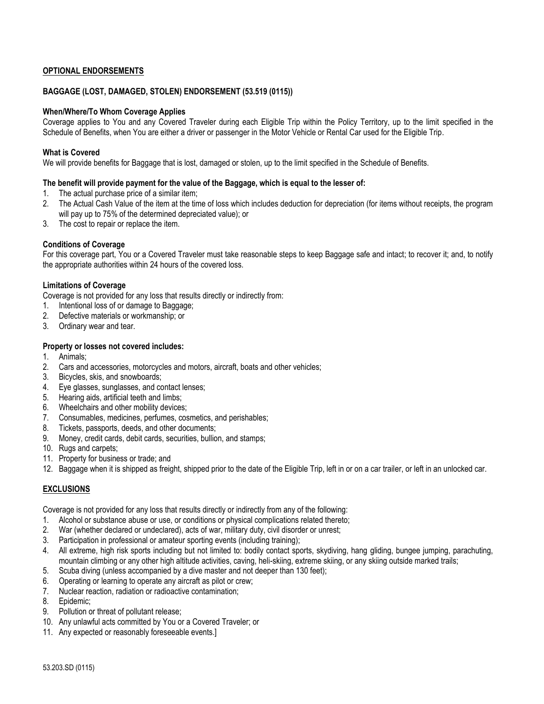#### **OPTIONAL ENDORSEMENTS**

#### **BAGGAGE (LOST, DAMAGED, STOLEN) ENDORSEMENT (53.519 (0115))**

#### **When/Where/To Whom Coverage Applies**

Coverage applies to You and any Covered Traveler during each Eligible Trip within the Policy Territory, up to the limit specified in the Schedule of Benefits, when You are either a driver or passenger in the Motor Vehicle or Rental Car used for the Eligible Trip.

#### **What is Covered**

We will provide benefits for Baggage that is lost, damaged or stolen, up to the limit specified in the Schedule of Benefits.

#### **The benefit will provide payment for the value of the Baggage, which is equal to the lesser of:**

- 1. The actual purchase price of a similar item;
- 2. The Actual Cash Value of the item at the time of loss which includes deduction for depreciation (for items without receipts, the program will pay up to 75% of the determined depreciated value); or
- 3. The cost to repair or replace the item.

#### **Conditions of Coverage**

For this coverage part, You or a Covered Traveler must take reasonable steps to keep Baggage safe and intact; to recover it; and, to notify the appropriate authorities within 24 hours of the covered loss.

#### **Limitations of Coverage**

Coverage is not provided for any loss that results directly or indirectly from:

- 1. Intentional loss of or damage to Baggage;
- 2. Defective materials or workmanship; or
- 3. Ordinary wear and tear.

#### **Property or losses not covered includes:**

- 1. Animals;
- 2. Cars and accessories, motorcycles and motors, aircraft, boats and other vehicles;
- 3. Bicycles, skis, and snowboards;
- 4. Eye glasses, sunglasses, and contact lenses;
- 5. Hearing aids, artificial teeth and limbs;
- 6. Wheelchairs and other mobility devices;
- 7. Consumables, medicines, perfumes, cosmetics, and perishables;
- 8. Tickets, passports, deeds, and other documents;
- 9. Money, credit cards, debit cards, securities, bullion, and stamps;
- 10. Rugs and carpets;
- 11. Property for business or trade; and
- 12. Baggage when it is shipped as freight, shipped prior to the date of the Eligible Trip, left in or on a car trailer, or left in an unlocked car.

#### **EXCLUSIONS**

Coverage is not provided for any loss that results directly or indirectly from any of the following:

- 1. Alcohol or substance abuse or use, or conditions or physical complications related thereto;
- 2. War (whether declared or undeclared), acts of war, military duty, civil disorder or unrest;
- 3. Participation in professional or amateur sporting events (including training);
- 4. All extreme, high risk sports including but not limited to: bodily contact sports, skydiving, hang gliding, bungee jumping, parachuting, mountain climbing or any other high altitude activities, caving, heli-skiing, extreme skiing, or any skiing outside marked trails;
- 5. Scuba diving (unless accompanied by a dive master and not deeper than 130 feet);
- 6. Operating or learning to operate any aircraft as pilot or crew;
- 7. Nuclear reaction, radiation or radioactive contamination;
- 8. Epidemic;
- 9. Pollution or threat of pollutant release;
- 10. Any unlawful acts committed by You or a Covered Traveler; or
- 11. Any expected or reasonably foreseeable events.]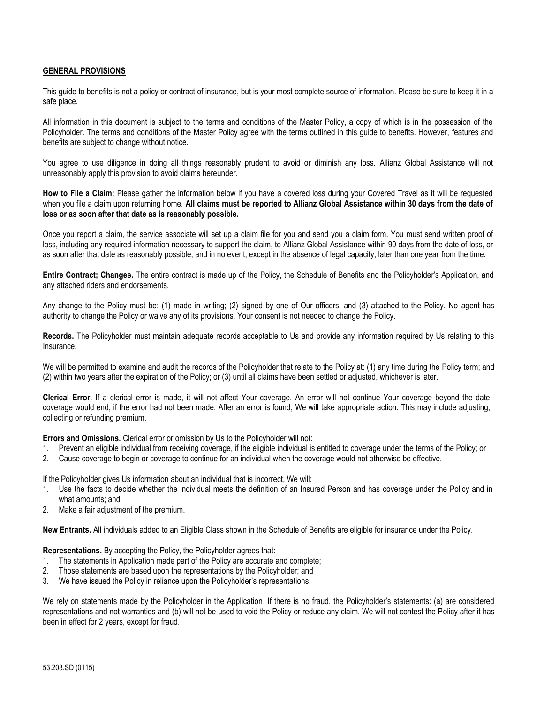#### **GENERAL PROVISIONS**

This guide to benefits is not a policy or contract of insurance, but is your most complete source of information. Please be sure to keep it in a safe place.

All information in this document is subject to the terms and conditions of the Master Policy, a copy of which is in the possession of the Policyholder. The terms and conditions of the Master Policy agree with the terms outlined in this guide to benefits. However, features and benefits are subject to change without notice.

You agree to use diligence in doing all things reasonably prudent to avoid or diminish any loss. Allianz Global Assistance will not unreasonably apply this provision to avoid claims hereunder.

**How to File a Claim:** Please gather the information below if you have a covered loss during your Covered Travel as it will be requested when you file a claim upon returning home. **All claims must be reported to Allianz Global Assistance within 30 days from the date of loss or as soon after that date as is reasonably possible.**

Once you report a claim, the service associate will set up a claim file for you and send you a claim form. You must send written proof of loss, including any required information necessary to support the claim, to Allianz Global Assistance within 90 days from the date of loss, or as soon after that date as reasonably possible, and in no event, except in the absence of legal capacity, later than one year from the time.

**Entire Contract; Changes.** The entire contract is made up of the Policy, the Schedule of Benefits and the Policyholder's Application, and any attached riders and endorsements.

Any change to the Policy must be: (1) made in writing; (2) signed by one of Our officers; and (3) attached to the Policy. No agent has authority to change the Policy or waive any of its provisions. Your consent is not needed to change the Policy.

**Records.** The Policyholder must maintain adequate records acceptable to Us and provide any information required by Us relating to this Insurance.

We will be permitted to examine and audit the records of the Policyholder that relate to the Policy at: (1) any time during the Policy term; and (2) within two years after the expiration of the Policy; or (3) until all claims have been settled or adjusted, whichever is later.

**Clerical Error.** If a clerical error is made, it will not affect Your coverage. An error will not continue Your coverage beyond the date coverage would end, if the error had not been made. After an error is found, We will take appropriate action. This may include adjusting, collecting or refunding premium.

**Errors and Omissions.** Clerical error or omission by Us to the Policyholder will not:

- 1. Prevent an eligible individual from receiving coverage, if the eligible individual is entitled to coverage under the terms of the Policy; or
- 2. Cause coverage to begin or coverage to continue for an individual when the coverage would not otherwise be effective.

If the Policyholder gives Us information about an individual that is incorrect, We will:

- 1. Use the facts to decide whether the individual meets the definition of an Insured Person and has coverage under the Policy and in what amounts; and
- 2. Make a fair adjustment of the premium.

**New Entrants.** All individuals added to an Eligible Class shown in the Schedule of Benefits are eligible for insurance under the Policy.

**Representations.** By accepting the Policy, the Policyholder agrees that:

- 1. The statements in Application made part of the Policy are accurate and complete;
- 2. Those statements are based upon the representations by the Policyholder; and
- 3. We have issued the Policy in reliance upon the Policyholder's representations.

We rely on statements made by the Policyholder in the Application. If there is no fraud, the Policyholder's statements: (a) are considered representations and not warranties and (b) will not be used to void the Policy or reduce any claim. We will not contest the Policy after it has been in effect for 2 years, except for fraud.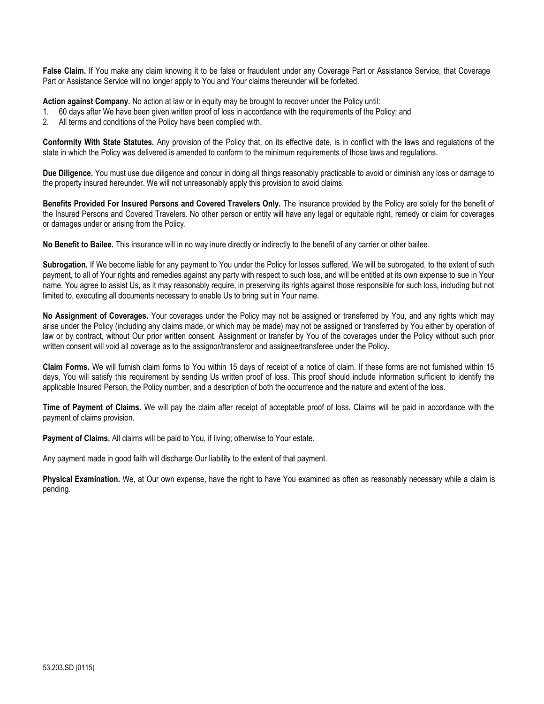**False Claim.** If You make any claim knowing it to be false or fraudulent under any Coverage Part or Assistance Service, that Coverage Part or Assistance Service will no longer apply to You and Your claims thereunder will be forfeited.

**Action against Company.** No action at law or in equity may be brought to recover under the Policy until:

- 1. 60 days after We have been given written proof of loss in accordance with the requirements of the Policy; and
- 2. All terms and conditions of the Policy have been complied with.

**Conformity With State Statutes.** Any provision of the Policy that, on its effective date, is in conflict with the laws and regulations of the state in which the Policy was delivered is amended to conform to the minimum requirements of those laws and regulations.

**Due Diligence.** You must use due diligence and concur in doing all things reasonably practicable to avoid or diminish any loss or damage to the property insured hereunder. We will not unreasonably apply this provision to avoid claims.

**Benefits Provided For Insured Persons and Covered Travelers Only.** The insurance provided by the Policy are solely for the benefit of the Insured Persons and Covered Travelers. No other person or entity will have any legal or equitable right, remedy or claim for coverages or damages under or arising from the Policy.

**No Benefit to Bailee.** This insurance will in no way inure directly or indirectly to the benefit of any carrier or other bailee.

**Subrogation.** If We become liable for any payment to You under the Policy for losses suffered, We will be subrogated, to the extent of such payment, to all of Your rights and remedies against any party with respect to such loss, and will be entitled at its own expense to sue in Your name. You agree to assist Us, as it may reasonably require, in preserving its rights against those responsible for such loss, including but not limited to, executing all documents necessary to enable Us to bring suit in Your name.

**No Assignment of Coverages.** Your coverages under the Policy may not be assigned or transferred by You, and any rights which may arise under the Policy (including any claims made, or which may be made) may not be assigned or transferred by You either by operation of law or by contract, without Our prior written consent. Assignment or transfer by You of the coverages under the Policy without such prior written consent will void all coverage as to the assignor/transferor and assignee/transferee under the Policy.

**Claim Forms.** We will furnish claim forms to You within 15 days of receipt of a notice of claim. If these forms are not furnished within 15 days, You will satisfy this requirement by sending Us written proof of loss. This proof should include information sufficient to identify the applicable Insured Person, the Policy number, and a description of both the occurrence and the nature and extent of the loss.

**Time of Payment of Claims.** We will pay the claim after receipt of acceptable proof of loss. Claims will be paid in accordance with the payment of claims provision.

**Payment of Claims.** All claims will be paid to You, if living; otherwise to Your estate.

Any payment made in good faith will discharge Our liability to the extent of that payment.

**Physical Examination.** We, at Our own expense, have the right to have You examined as often as reasonably necessary while a claim is pending.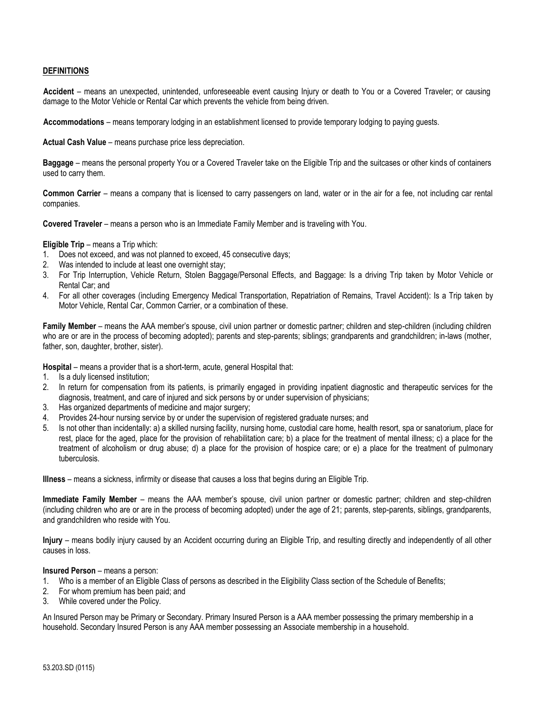#### **DEFINITIONS**

**Accident** – means an unexpected, unintended, unforeseeable event causing Injury or death to You or a Covered Traveler; or causing damage to the Motor Vehicle or Rental Car which prevents the vehicle from being driven.

**Accommodations** – means temporary lodging in an establishment licensed to provide temporary lodging to paying guests.

**Actual Cash Value** – means purchase price less depreciation.

**Baggage** – means the personal property You or a Covered Traveler take on the Eligible Trip and the suitcases or other kinds of containers used to carry them.

**Common Carrier** – means a company that is licensed to carry passengers on land, water or in the air for a fee, not including car rental companies.

**Covered Traveler** – means a person who is an Immediate Family Member and is traveling with You.

**Eligible Trip** – means a Trip which:

- 1. Does not exceed, and was not planned to exceed, 45 consecutive days;
- 2. Was intended to include at least one overnight stay;
- 3. For Trip Interruption, Vehicle Return, Stolen Baggage/Personal Effects, and Baggage: Is a driving Trip taken by Motor Vehicle or Rental Car; and
- 4. For all other coverages (including Emergency Medical Transportation, Repatriation of Remains, Travel Accident): Is a Trip taken by Motor Vehicle, Rental Car, Common Carrier, or a combination of these.

**Family Member** – means the AAA member's spouse, civil union partner or domestic partner; children and step-children (including children who are or are in the process of becoming adopted); parents and step-parents; siblings; grandparents and grandchildren; in-laws (mother, father, son, daughter, brother, sister).

**Hospital** – means a provider that is a short-term, acute, general Hospital that:

- 1. Is a duly licensed institution;
- 2. In return for compensation from its patients, is primarily engaged in providing inpatient diagnostic and therapeutic services for the diagnosis, treatment, and care of injured and sick persons by or under supervision of physicians;
- 3. Has organized departments of medicine and major surgery;
- 4. Provides 24-hour nursing service by or under the supervision of registered graduate nurses; and
- 5. Is not other than incidentally: a) a skilled nursing facility, nursing home, custodial care home, health resort, spa or sanatorium, place for rest, place for the aged, place for the provision of rehabilitation care; b) a place for the treatment of mental illness; c) a place for the treatment of alcoholism or drug abuse; d) a place for the provision of hospice care; or e) a place for the treatment of pulmonary tuberculosis.

**Illness** – means a sickness, infirmity or disease that causes a loss that begins during an Eligible Trip.

**Immediate Family Member** – means the AAA member's spouse, civil union partner or domestic partner; children and step-children (including children who are or are in the process of becoming adopted) under the age of 21; parents, step-parents, siblings, grandparents, and grandchildren who reside with You.

**Injury** – means bodily injury caused by an Accident occurring during an Eligible Trip, and resulting directly and independently of all other causes in loss.

#### **Insured Person** – means a person:

- 1. Who is a member of an Eligible Class of persons as described in the Eligibility Class section of the Schedule of Benefits;
- 2. For whom premium has been paid; and
- 3. While covered under the Policy.

An Insured Person may be Primary or Secondary. Primary Insured Person is a AAA member possessing the primary membership in a household. Secondary Insured Person is any AAA member possessing an Associate membership in a household.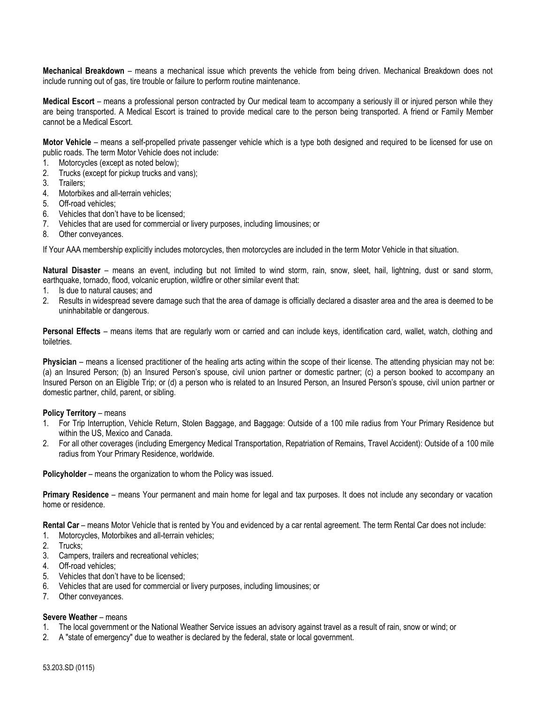**Mechanical Breakdown** – means a mechanical issue which prevents the vehicle from being driven. Mechanical Breakdown does not include running out of gas, tire trouble or failure to perform routine maintenance.

**Medical Escort** – means a professional person contracted by Our medical team to accompany a seriously ill or injured person while they are being transported. A Medical Escort is trained to provide medical care to the person being transported. A friend or Family Member cannot be a Medical Escort.

**Motor Vehicle** – means a self-propelled private passenger vehicle which is a type both designed and required to be licensed for use on public roads. The term Motor Vehicle does not include:

- 1. Motorcycles (except as noted below);
- 2. Trucks (except for pickup trucks and vans);
- 3. Trailers;
- Motorbikes and all-terrain vehicles;
- 5. Off-road vehicles;
- 6. Vehicles that don't have to be licensed;
- 7. Vehicles that are used for commercial or livery purposes, including limousines; or
- 8. Other conveyances.

If Your AAA membership explicitly includes motorcycles, then motorcycles are included in the term Motor Vehicle in that situation.

**Natural Disaster** – means an event, including but not limited to wind storm, rain, snow, sleet, hail, lightning, dust or sand storm, earthquake, tornado, flood, volcanic eruption, wildfire or other similar event that:

- 1. Is due to natural causes; and
- 2. Results in widespread severe damage such that the area of damage is officially declared a disaster area and the area is deemed to be uninhabitable or dangerous.

**Personal Effects** – means items that are regularly worn or carried and can include keys, identification card, wallet, watch, clothing and toiletries.

**Physician** – means a licensed practitioner of the healing arts acting within the scope of their license. The attending physician may not be: (a) an Insured Person; (b) an Insured Person's spouse, civil union partner or domestic partner; (c) a person booked to accompany an Insured Person on an Eligible Trip; or (d) a person who is related to an Insured Person, an Insured Person's spouse, civil union partner or domestic partner, child, parent, or sibling.

#### **Policy Territory** – means

- 1. For Trip Interruption, Vehicle Return, Stolen Baggage, and Baggage: Outside of a 100 mile radius from Your Primary Residence but within the US, Mexico and Canada.
- 2. For all other coverages (including Emergency Medical Transportation, Repatriation of Remains, Travel Accident): Outside of a 100 mile radius from Your Primary Residence, worldwide.

**Policyholder** – means the organization to whom the Policy was issued.

**Primary Residence** – means Your permanent and main home for legal and tax purposes. It does not include any secondary or vacation home or residence.

**Rental Car** – means Motor Vehicle that is rented by You and evidenced by a car rental agreement. The term Rental Car does not include:

- 1. Motorcycles, Motorbikes and all-terrain vehicles;
- Trucks:
- 3. Campers, trailers and recreational vehicles;
- 4. Off-road vehicles;
- 5. Vehicles that don't have to be licensed;
- 6. Vehicles that are used for commercial or livery purposes, including limousines; or
- 7. Other conveyances.

#### **Severe Weather** – means

- 1. The local government or the National Weather Service issues an advisory against travel as a result of rain, snow or wind; or
- 2. A "state of emergency" due to weather is declared by the federal, state or local government.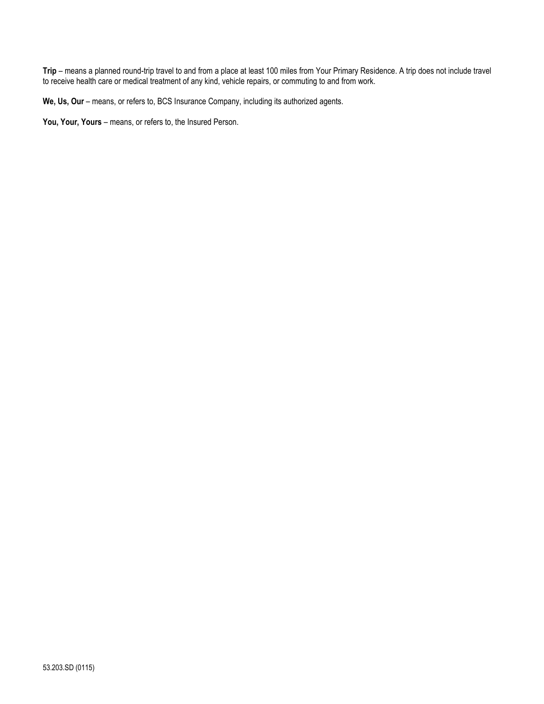**Trip** – means a planned round-trip travel to and from a place at least 100 miles from Your Primary Residence. A trip does not include travel to receive health care or medical treatment of any kind, vehicle repairs, or commuting to and from work.

**We, Us, Our** – means, or refers to, BCS Insurance Company, including its authorized agents.

**You, Your, Yours** – means, or refers to, the Insured Person.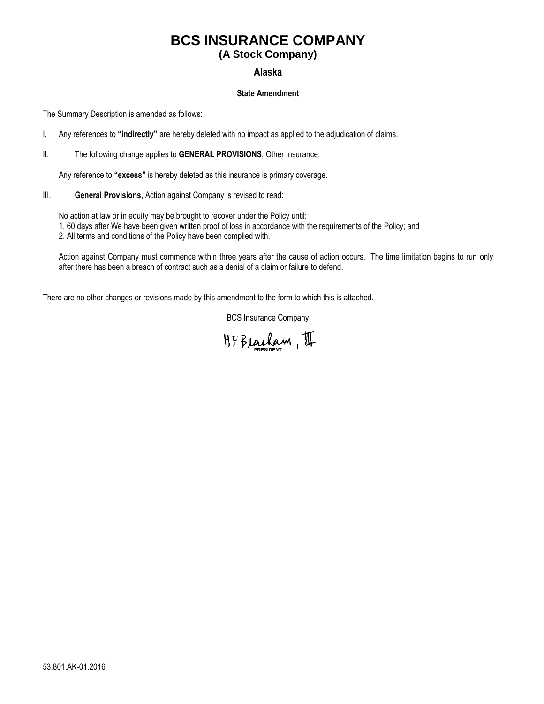# **BCS INSURANCE COMPANY**

## **(A Stock Company)**

### **Alaska**

#### **State Amendment**

The Summary Description is amended as follows:

- I. Any references to **"indirectly"** are hereby deleted with no impact as applied to the adjudication of claims.
- II. The following change applies to **GENERAL PROVISIONS**, Other Insurance:

Any reference to **"excess"** is hereby deleted as this insurance is primary coverage.

III. **General Provisions**, Action against Company is revised to read:

No action at law or in equity may be brought to recover under the Policy until: 1. 60 days after We have been given written proof of loss in accordance with the requirements of the Policy; and 2. All terms and conditions of the Policy have been complied with.

Action against Company must commence within three years after the cause of action occurs. The time limitation begins to run only after there has been a breach of contract such as a denial of a claim or failure to defend.

There are no other changes or revisions made by this amendment to the form to which this is attached.

HFBeucham, II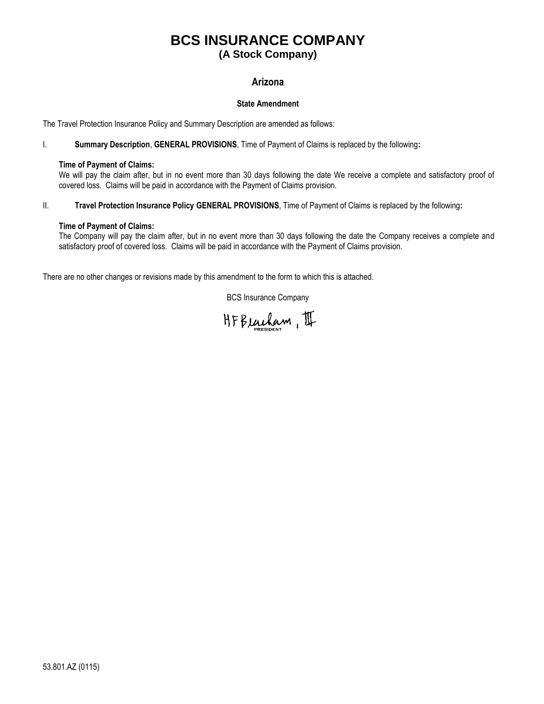# **BCS INSURANCE COMPANY (A Stock Company)**

### **Arizona**

#### **State Amendment**

The Travel Protection Insurance Policy and Summary Description are amended as follows:

I. **Summary Description**, **GENERAL PROVISIONS**, Time of Payment of Claims is replaced by the following**:**

#### **Time of Payment of Claims:**

We will pay the claim after, but in no event more than 30 days following the date We receive a complete and satisfactory proof of covered loss. Claims will be paid in accordance with the Payment of Claims provision.

II. **Travel Protection Insurance Policy GENERAL PROVISIONS**, Time of Payment of Claims is replaced by the following**:**

#### **Time of Payment of Claims:**

The Company will pay the claim after, but in no event more than 30 days following the date the Company receives a complete and satisfactory proof of covered loss. Claims will be paid in accordance with the Payment of Claims provision.

There are no other changes or revisions made by this amendment to the form to which this is attached.

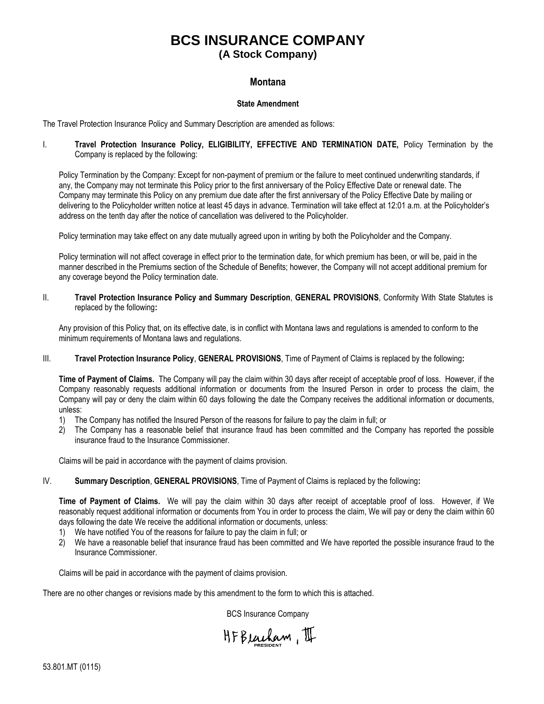# **BCS INSURANCE COMPANY**

# **(A Stock Company)**

#### **Montana**

#### **State Amendment**

The Travel Protection Insurance Policy and Summary Description are amended as follows:

I. **Travel Protection Insurance Policy, ELIGIBILITY, EFFECTIVE AND TERMINATION DATE,** Policy Termination by the Company is replaced by the following:

Policy Termination by the Company: Except for non-payment of premium or the failure to meet continued underwriting standards, if any, the Company may not terminate this Policy prior to the first anniversary of the Policy Effective Date or renewal date. The Company may terminate this Policy on any premium due date after the first anniversary of the Policy Effective Date by mailing or delivering to the Policyholder written notice at least 45 days in advance. Termination will take effect at 12:01 a.m. at the Policyholder's address on the tenth day after the notice of cancellation was delivered to the Policyholder.

Policy termination may take effect on any date mutually agreed upon in writing by both the Policyholder and the Company.

Policy termination will not affect coverage in effect prior to the termination date, for which premium has been, or will be, paid in the manner described in the Premiums section of the Schedule of Benefits; however, the Company will not accept additional premium for any coverage beyond the Policy termination date.

II. **Travel Protection Insurance Policy and Summary Description**, **GENERAL PROVISIONS**, Conformity With State Statutes is replaced by the following**:**

Any provision of this Policy that, on its effective date, is in conflict with Montana laws and regulations is amended to conform to the minimum requirements of Montana laws and regulations.

III. **Travel Protection Insurance Policy**, **GENERAL PROVISIONS**, Time of Payment of Claims is replaced by the following**:**

**Time of Payment of Claims.** The Company will pay the claim within 30 days after receipt of acceptable proof of loss. However, if the Company reasonably requests additional information or documents from the Insured Person in order to process the claim, the Company will pay or deny the claim within 60 days following the date the Company receives the additional information or documents, unless:

- 1) The Company has notified the Insured Person of the reasons for failure to pay the claim in full; or
- 2) The Company has a reasonable belief that insurance fraud has been committed and the Company has reported the possible insurance fraud to the Insurance Commissioner.

Claims will be paid in accordance with the payment of claims provision.

IV. **Summary Description**, **GENERAL PROVISIONS**, Time of Payment of Claims is replaced by the following**:**

**Time of Payment of Claims.** We will pay the claim within 30 days after receipt of acceptable proof of loss. However, if We reasonably request additional information or documents from You in order to process the claim, We will pay or deny the claim within 60 days following the date We receive the additional information or documents, unless:

- 1) We have notified You of the reasons for failure to pay the claim in full; or
- 2) We have a reasonable belief that insurance fraud has been committed and We have reported the possible insurance fraud to the Insurance Commissioner.

Claims will be paid in accordance with the payment of claims provision.

There are no other changes or revisions made by this amendment to the form to which this is attached.

HFBeucham, II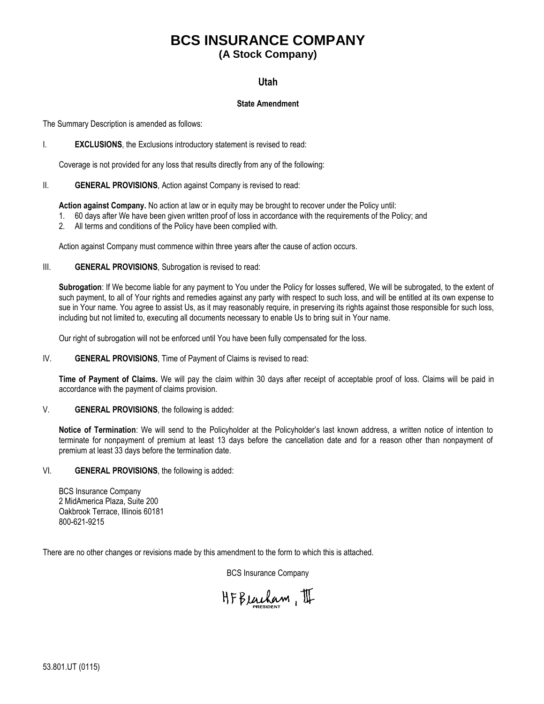## **BCS INSURANCE COMPANY (A Stock Company)**

### **Utah**

#### **State Amendment**

The Summary Description is amended as follows:

#### I. **EXCLUSIONS**, the Exclusions introductory statement is revised to read:

Coverage is not provided for any loss that results directly from any of the following:

#### II. **GENERAL PROVISIONS**, Action against Company is revised to read:

**Action against Company.** No action at law or in equity may be brought to recover under the Policy until:

- 1. 60 days after We have been given written proof of loss in accordance with the requirements of the Policy; and
- 2. All terms and conditions of the Policy have been complied with.

Action against Company must commence within three years after the cause of action occurs.

#### III. **GENERAL PROVISIONS**, Subrogation is revised to read:

**Subrogation**: If We become liable for any payment to You under the Policy for losses suffered, We will be subrogated, to the extent of such payment, to all of Your rights and remedies against any party with respect to such loss, and will be entitled at its own expense to sue in Your name. You agree to assist Us, as it may reasonably require, in preserving its rights against those responsible for such loss, including but not limited to, executing all documents necessary to enable Us to bring suit in Your name.

Our right of subrogation will not be enforced until You have been fully compensated for the loss.

#### IV. **GENERAL PROVISIONS**, Time of Payment of Claims is revised to read:

**Time of Payment of Claims.** We will pay the claim within 30 days after receipt of acceptable proof of loss. Claims will be paid in accordance with the payment of claims provision.

#### V. **GENERAL PROVISIONS**, the following is added:

**Notice of Termination**: We will send to the Policyholder at the Policyholder's last known address, a written notice of intention to terminate for nonpayment of premium at least 13 days before the cancellation date and for a reason other than nonpayment of premium at least 33 days before the termination date.

#### VI. **GENERAL PROVISIONS**, the following is added:

BCS Insurance Company 2 MidAmerica Plaza, Suite 200 Oakbrook Terrace, Illinois 60181 800-621-9215

There are no other changes or revisions made by this amendment to the form to which this is attached.